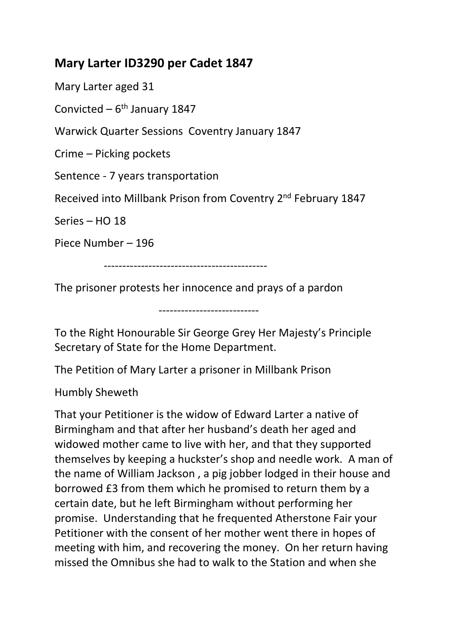## **Mary Larter ID3290 per Cadet 1847**

Mary Larter aged 31

Convicted –  $6<sup>th</sup>$  January 1847

Warwick Quarter Sessions Coventry January 1847

Crime – Picking pockets

Sentence - 7 years transportation

Received into Millbank Prison from Coventry 2nd February 1847

Series – HO 18

Piece Number – 196

--------------------------------------------

The prisoner protests her innocence and prays of a pardon

---------------------------

To the Right Honourable Sir George Grey Her Majesty's Principle Secretary of State for the Home Department.

The Petition of Mary Larter a prisoner in Millbank Prison

Humbly Sheweth

That your Petitioner is the widow of Edward Larter a native of Birmingham and that after her husband's death her aged and widowed mother came to live with her, and that they supported themselves by keeping a huckster's shop and needle work. A man of the name of William Jackson , a pig jobber lodged in their house and borrowed £3 from them which he promised to return them by a certain date, but he left Birmingham without performing her promise. Understanding that he frequented Atherstone Fair your Petitioner with the consent of her mother went there in hopes of meeting with him, and recovering the money. On her return having missed the Omnibus she had to walk to the Station and when she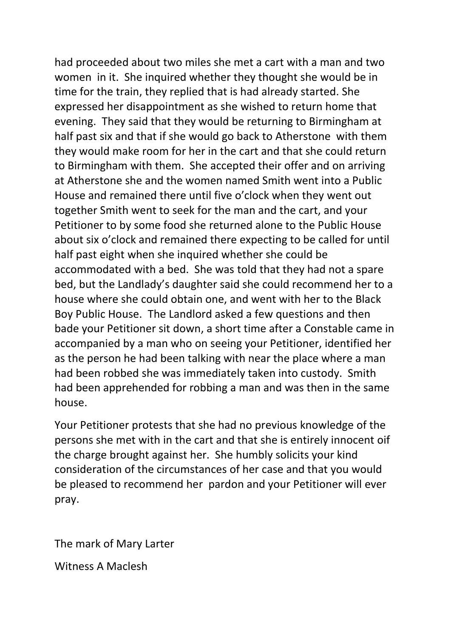had proceeded about two miles she met a cart with a man and two women in it. She inquired whether they thought she would be in time for the train, they replied that is had already started. She expressed her disappointment as she wished to return home that evening. They said that they would be returning to Birmingham at half past six and that if she would go back to Atherstone with them they would make room for her in the cart and that she could return to Birmingham with them. She accepted their offer and on arriving at Atherstone she and the women named Smith went into a Public House and remained there until five o'clock when they went out together Smith went to seek for the man and the cart, and your Petitioner to by some food she returned alone to the Public House about six o'clock and remained there expecting to be called for until half past eight when she inquired whether she could be accommodated with a bed. She was told that they had not a spare bed, but the Landlady's daughter said she could recommend her to a house where she could obtain one, and went with her to the Black Boy Public House. The Landlord asked a few questions and then bade your Petitioner sit down, a short time after a Constable came in accompanied by a man who on seeing your Petitioner, identified her as the person he had been talking with near the place where a man had been robbed she was immediately taken into custody. Smith had been apprehended for robbing a man and was then in the same house.

Your Petitioner protests that she had no previous knowledge of the persons she met with in the cart and that she is entirely innocent oif the charge brought against her. She humbly solicits your kind consideration of the circumstances of her case and that you would be pleased to recommend her pardon and your Petitioner will ever pray.

The mark of Mary Larter

Witness A Maclesh